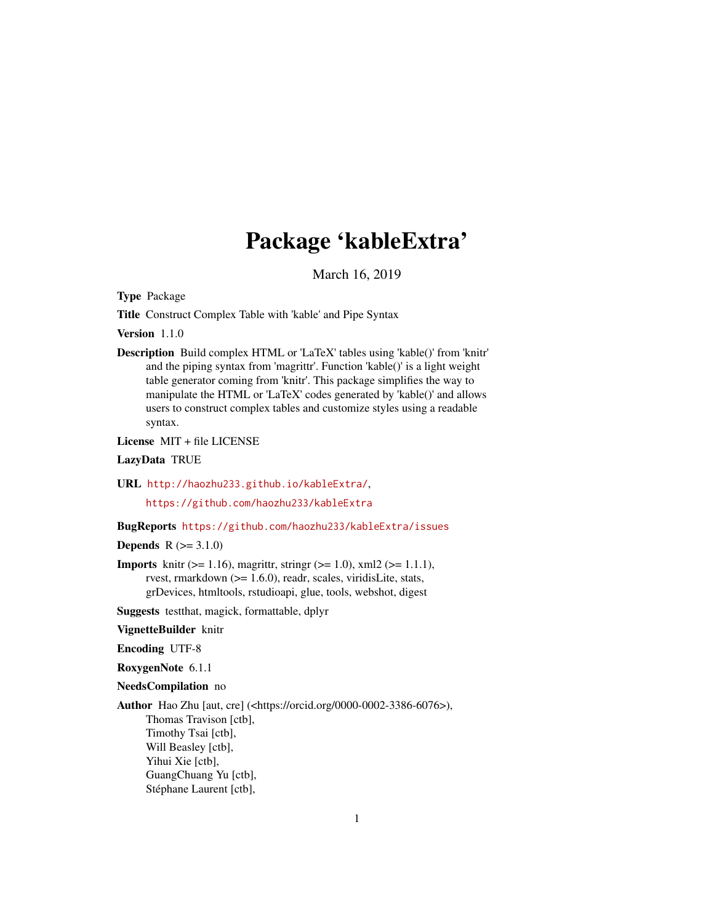# Package 'kableExtra'

March 16, 2019

<span id="page-0-0"></span>Type Package

Title Construct Complex Table with 'kable' and Pipe Syntax

Version 1.1.0

Description Build complex HTML or 'LaTeX' tables using 'kable()' from 'knitr' and the piping syntax from 'magrittr'. Function 'kable()' is a light weight table generator coming from 'knitr'. This package simplifies the way to manipulate the HTML or 'LaTeX' codes generated by 'kable()' and allows users to construct complex tables and customize styles using a readable syntax.

License MIT + file LICENSE

LazyData TRUE

URL <http://haozhu233.github.io/kableExtra/>,

<https://github.com/haozhu233/kableExtra>

# BugReports <https://github.com/haozhu233/kableExtra/issues>

**Depends**  $R (= 3.1.0)$ 

**Imports** knitr ( $> = 1.16$ ), magrittr, stringr ( $> = 1.0$ ), xml2 ( $> = 1.1.1$ ), rvest, rmarkdown (>= 1.6.0), readr, scales, viridisLite, stats, grDevices, htmltools, rstudioapi, glue, tools, webshot, digest

Suggests testthat, magick, formattable, dplyr

VignetteBuilder knitr

Encoding UTF-8

RoxygenNote 6.1.1

#### NeedsCompilation no

Author Hao Zhu [aut, cre] (<https://orcid.org/0000-0002-3386-6076>), Thomas Travison [ctb], Timothy Tsai [ctb], Will Beasley [ctb], Yihui Xie [ctb], GuangChuang Yu [ctb], Stéphane Laurent [ctb],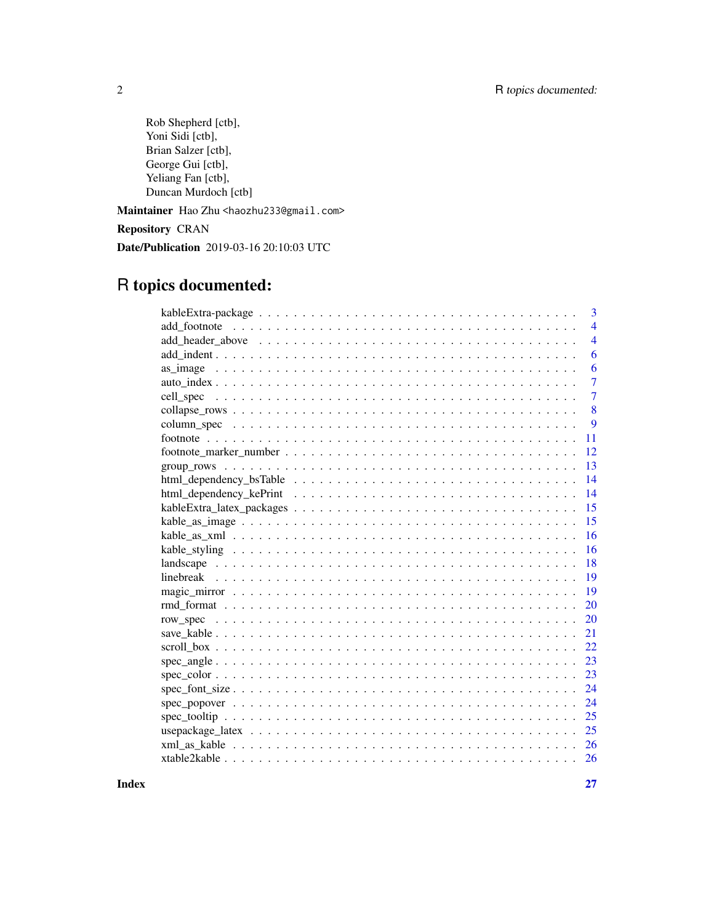Rob Shepherd [ctb], Yoni Sidi [ctb], Brian Salzer [ctb], George Gui [ctb], Yeliang Fan [ctb], Duncan Murdoch [ctb]

Maintainer Hao Zhu <haozhu233@gmail.com>

Repository CRAN

Date/Publication 2019-03-16 20:10:03 UTC

# R topics documented:

| 3                   |
|---------------------|
| $\overline{4}$      |
| $\overline{4}$      |
| 6                   |
| 6                   |
| 7                   |
| 7                   |
| 8                   |
| 9                   |
| 11                  |
| 12                  |
| 13                  |
| 14                  |
| 14                  |
| 15                  |
| 15                  |
| 16                  |
| 16                  |
| 18                  |
| 19                  |
| 19                  |
| 20                  |
| 20                  |
| 21                  |
| 22                  |
| 23<br>$spec\_angle$ |
| 23                  |
| 24                  |
| 24                  |
| 25                  |
| 25                  |
|                     |
|                     |

**Index** [27](#page-26-0)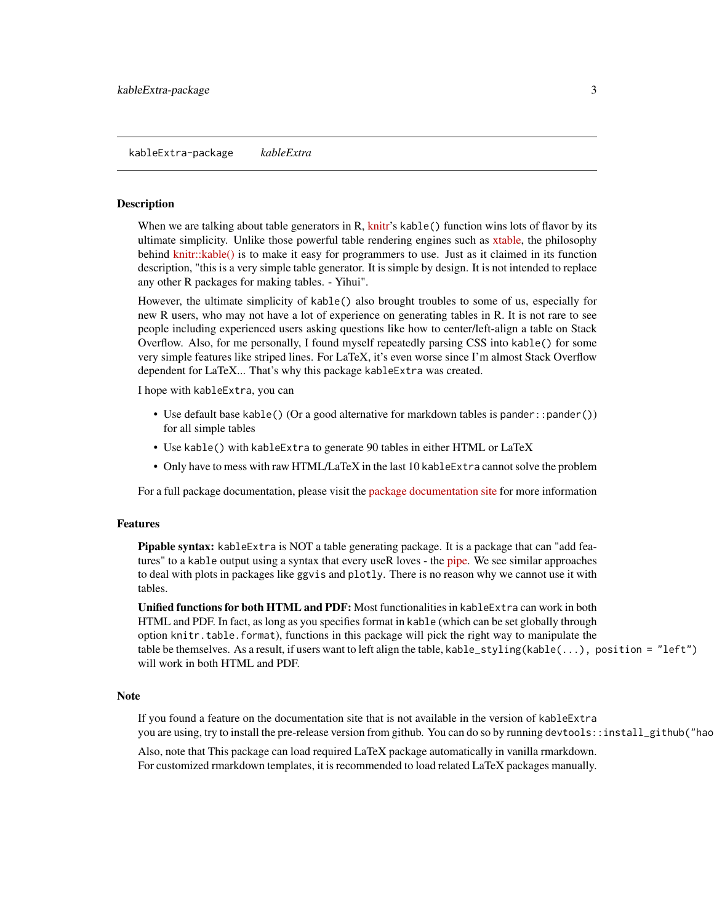<span id="page-2-0"></span>When we are talking about table generators in  $R$ , [knitr'](https://yihui.name/knitr/)s kable() function wins lots of flavor by its ultimate simplicity. Unlike those powerful table rendering engines such as [xtable,](https://CRAN.R-project.org/package=xtable) the philosophy behind [knitr::kable\(\)](https://rdrr.io/cran/knitr/man/kable.html) is to make it easy for programmers to use. Just as it claimed in its function description, "this is a very simple table generator. It is simple by design. It is not intended to replace any other R packages for making tables. - Yihui".

However, the ultimate simplicity of kable() also brought troubles to some of us, especially for new R users, who may not have a lot of experience on generating tables in R. It is not rare to see people including experienced users asking questions like how to center/left-align a table on Stack Overflow. Also, for me personally, I found myself repeatedly parsing CSS into kable() for some very simple features like striped lines. For LaTeX, it's even worse since I'm almost Stack Overflow dependent for LaTeX... That's why this package kableExtra was created.

I hope with kableExtra, you can

- Use default base kable() (Or a good alternative for markdown tables is pander::pander()) for all simple tables
- Use kable() with kableExtra to generate 90 tables in either HTML or LaTeX
- Only have to mess with raw HTML/LaTeX in the last 10 kableExtra cannot solve the problem

For a full package documentation, please visit the [package documentation site](http://haozhu233.github.io/kableExtra/) for more information

#### Features

**Pipable syntax:** kableExtra is NOT a table generating package. It is a package that can "add features" to a kable output using a syntax that every useR loves - the [pipe.](http://r4ds.had.co.nz/pipes.html) We see similar approaches to deal with plots in packages like ggvis and plotly. There is no reason why we cannot use it with tables.

Unified functions for both HTML and PDF: Most functionalities in kableExtra can work in both HTML and PDF. In fact, as long as you specifies format in kable (which can be set globally through option knitr.table.format), functions in this package will pick the right way to manipulate the table be themselves. As a result, if users want to left align the table, kable\_styling(kable(...), position = "left") will work in both HTML and PDF.

#### Note

If you found a feature on the documentation site that is not available in the version of kableExtra you are using, try to install the pre-release version from github. You can do so by running devtools::install\_github("hao

Also, note that This package can load required LaTeX package automatically in vanilla rmarkdown. For customized rmarkdown templates, it is recommended to load related LaTeX packages manually.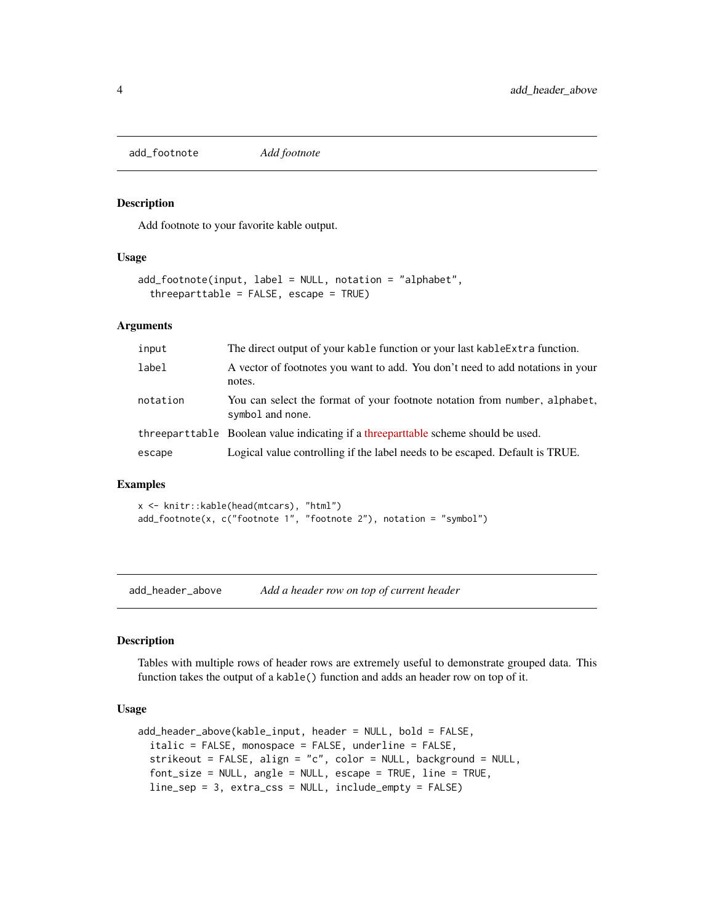<span id="page-3-0"></span>add\_footnote *Add footnote*

#### Description

Add footnote to your favorite kable output.

# Usage

```
add_footnote(input, label = NULL, notation = "alphabet",
  threeparttable = FALSE, escape = TRUE)
```
# Arguments

| input    | The direct output of your kable function or your last kableExtra function.                     |
|----------|------------------------------------------------------------------------------------------------|
| label    | A vector of footnotes you want to add. You don't need to add notations in your<br>notes.       |
| notation | You can select the format of your footnote notation from number, alphabet,<br>symbol and none. |
|          | threeparttable Boolean value indicating if a threeparttable scheme should be used.             |
| escape   | Logical value controlling if the label needs to be escaped. Default is TRUE.                   |
|          |                                                                                                |

#### Examples

x <- knitr::kable(head(mtcars), "html") add\_footnote(x, c("footnote 1", "footnote 2"), notation = "symbol")

add\_header\_above *Add a header row on top of current header*

# Description

Tables with multiple rows of header rows are extremely useful to demonstrate grouped data. This function takes the output of a kable() function and adds an header row on top of it.

#### Usage

```
add_header_above(kable_input, header = NULL, bold = FALSE,
  italic = FALSE, monospace = FALSE, underline = FALSE,
  strikeout = FALSE, align = "c", color = NULL, background = NULL,
  font_size = NULL, angle = NULL, escape = TRUE, line = TRUE,
 line_sep = 3, extra_css = NULL, include_empty = FALSE)
```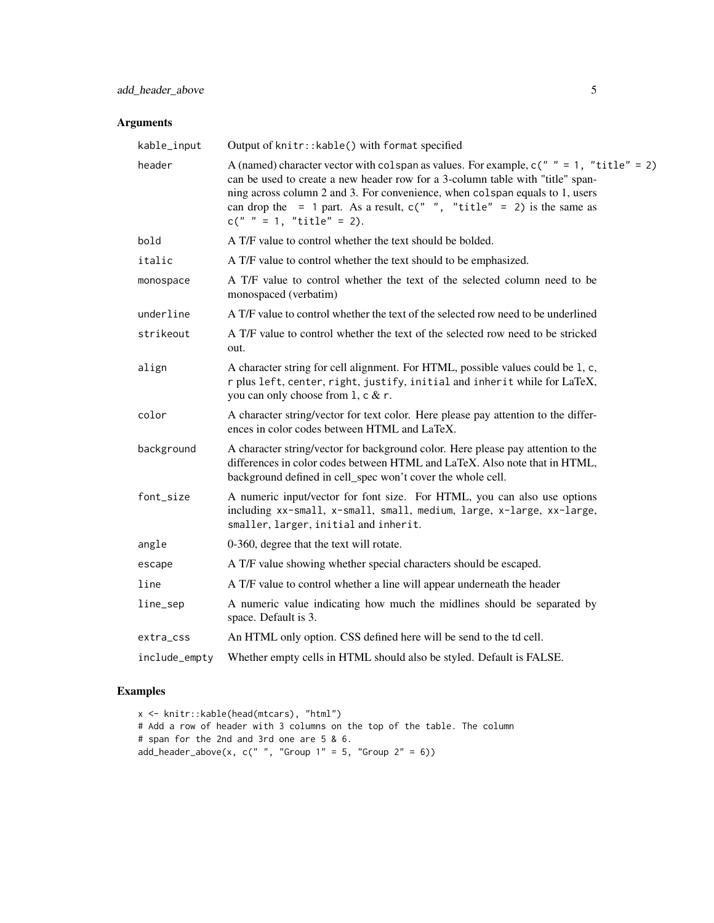# Arguments

| kable_input   | Output of knitr:: kable() with format specified                                                                                                                                                                                                                                                                                                                      |
|---------------|----------------------------------------------------------------------------------------------------------------------------------------------------------------------------------------------------------------------------------------------------------------------------------------------------------------------------------------------------------------------|
| header        | A (named) character vector with colspan as values. For example, $c(" " = 1, "title" = 2)$<br>can be used to create a new header row for a 3-column table with "title" span-<br>ning across column 2 and 3. For convenience, when colspan equals to 1, users<br>can drop the = 1 part. As a result, $c("", "title" = 2)$ is the same as<br>$c(" " = 1, "title" = 2).$ |
| bold          | A T/F value to control whether the text should be bolded.                                                                                                                                                                                                                                                                                                            |
| italic        | A T/F value to control whether the text should to be emphasized.                                                                                                                                                                                                                                                                                                     |
| monospace     | A T/F value to control whether the text of the selected column need to be<br>monospaced (verbatim)                                                                                                                                                                                                                                                                   |
| underline     | A T/F value to control whether the text of the selected row need to be underlined                                                                                                                                                                                                                                                                                    |
| strikeout     | A T/F value to control whether the text of the selected row need to be stricked<br>out.                                                                                                                                                                                                                                                                              |
| align         | A character string for cell alignment. For HTML, possible values could be 1, c,<br>r plus left, center, right, justify, initial and inherit while for LaTeX,<br>you can only choose from 1, c & r.                                                                                                                                                                   |
| color         | A character string/vector for text color. Here please pay attention to the differ-<br>ences in color codes between HTML and LaTeX.                                                                                                                                                                                                                                   |
| background    | A character string/vector for background color. Here please pay attention to the<br>differences in color codes between HTML and LaTeX. Also note that in HTML,<br>background defined in cell_spec won't cover the whole cell.                                                                                                                                        |
| font_size     | A numeric input/vector for font size. For HTML, you can also use options<br>including xx-small, x-small, small, medium, large, x-large, xx-large,<br>smaller, larger, initial and inherit.                                                                                                                                                                           |
| angle         | 0-360, degree that the text will rotate.                                                                                                                                                                                                                                                                                                                             |
| escape        | A T/F value showing whether special characters should be escaped.                                                                                                                                                                                                                                                                                                    |
| line          | A T/F value to control whether a line will appear underneath the header                                                                                                                                                                                                                                                                                              |
| line_sep      | A numeric value indicating how much the midlines should be separated by<br>space. Default is 3.                                                                                                                                                                                                                                                                      |
| extra_css     | An HTML only option. CSS defined here will be send to the td cell.                                                                                                                                                                                                                                                                                                   |
| include_empty | Whether empty cells in HTML should also be styled. Default is FALSE.                                                                                                                                                                                                                                                                                                 |

# Examples

```
x <- knitr::kable(head(mtcars), "html")
# Add a row of header with 3 columns on the top of the table. The column
# span for the 2nd and 3rd one are 5 & 6.
add\_header\_above(x, c(" ", "Group 1" = 5, "Group 2" = 6))
```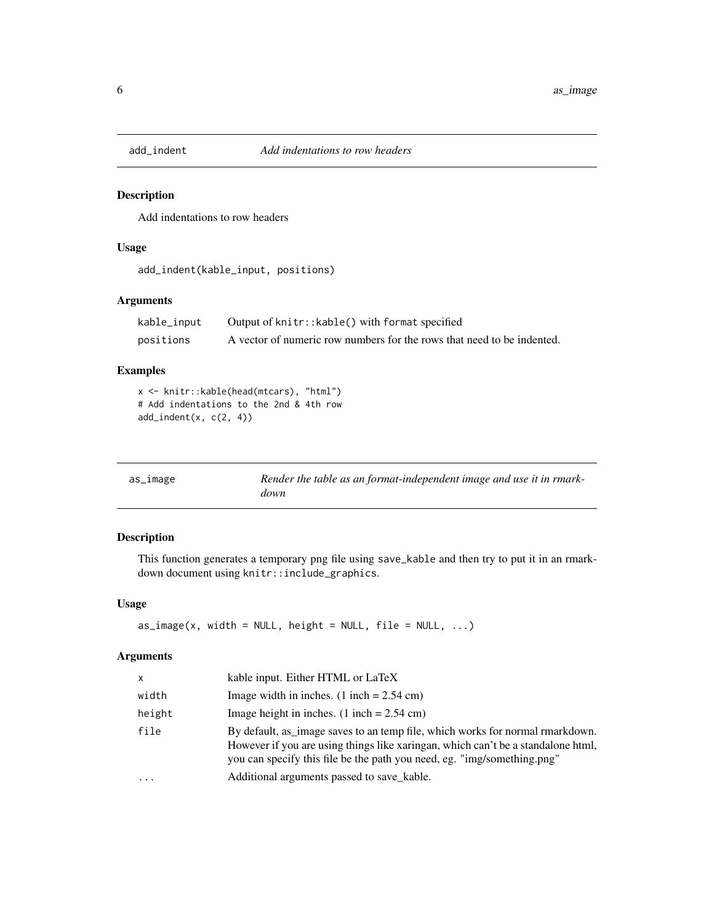<span id="page-5-0"></span>

Add indentations to row headers

# Usage

add\_indent(kable\_input, positions)

# Arguments

| kable_input | Output of knitr:: kable() with format specified                        |
|-------------|------------------------------------------------------------------------|
| positions   | A vector of numeric row numbers for the rows that need to be indented. |

# Examples

x <- knitr::kable(head(mtcars), "html") # Add indentations to the 2nd & 4th row add\_indent(x, c(2, 4))

| as_image | Render the table as an format-independent image and use it in rmark- |
|----------|----------------------------------------------------------------------|
|          | down                                                                 |

# Description

This function generates a temporary png file using save\_kable and then try to put it in an rmarkdown document using knitr::include\_graphics.

#### Usage

```
as\_image(x, width = NULL, height = NULL, file = NULL, ...)
```

| X.       | kable input. Either HTML or LaTeX                                                                                                                                                                                                            |
|----------|----------------------------------------------------------------------------------------------------------------------------------------------------------------------------------------------------------------------------------------------|
| width    | Image width in inches. $(1$ inch = 2.54 cm)                                                                                                                                                                                                  |
| height   | Image height in inches. $(1$ inch = 2.54 cm)                                                                                                                                                                                                 |
| file     | By default, as image saves to an temp file, which works for normal rmarkdown.<br>However if you are using things like xaringan, which can't be a standalone html,<br>you can specify this file be the path you need, eg. "img/something.png" |
| $\ddots$ | Additional arguments passed to save kable.                                                                                                                                                                                                   |
|          |                                                                                                                                                                                                                                              |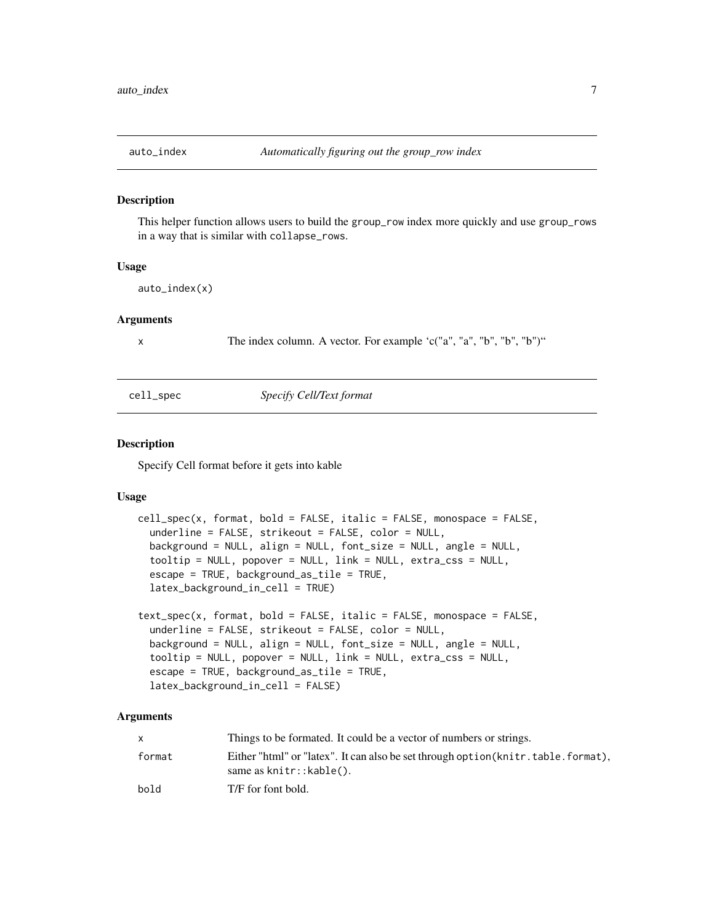<span id="page-6-0"></span>

This helper function allows users to build the group\_row index more quickly and use group\_rows in a way that is similar with collapse\_rows.

#### Usage

auto\_index(x)

#### Arguments

x The index column. A vector. For example 'c("a", "a", "b", "b", "b")"

#### cell\_spec *Specify Cell/Text format*

# Description

Specify Cell format before it gets into kable

#### Usage

```
cell_spec(x, format, bold = FALSE, italic = FALSE, monospace = FALSE,
  underline = FALSE, strikeout = FALSE, color = NULL,
 background = NULL, align = NULL, font_size = NULL, angle = NULL,
  tooltip = NULL, popover = NULL, link = NULL, extra_css = NULL,
  escape = TRUE, background_as_tile = TRUE,
  latex_background_in_cell = TRUE)
text_spec(x, format, bold = FALSE, italic = FALSE, monospace = FALSE,
```

```
underline = FALSE, strikeout = FALSE, color = NULL,
background = NULL, align = NULL, font_size = NULL, angle = NULL,
tooltip = NULL, popover = NULL, link = NULL, extra_css = NULL,
escape = TRUE, background_as_tile = TRUE,
latex_background_in_cell = FALSE)
```

|        | Things to be formated. It could be a vector of numbers or strings.                                           |
|--------|--------------------------------------------------------------------------------------------------------------|
| format | Either "html" or "latex". It can also be set through option (knitr.table.format),<br>same as knitr::kable(). |
| bold   | T/F for font bold.                                                                                           |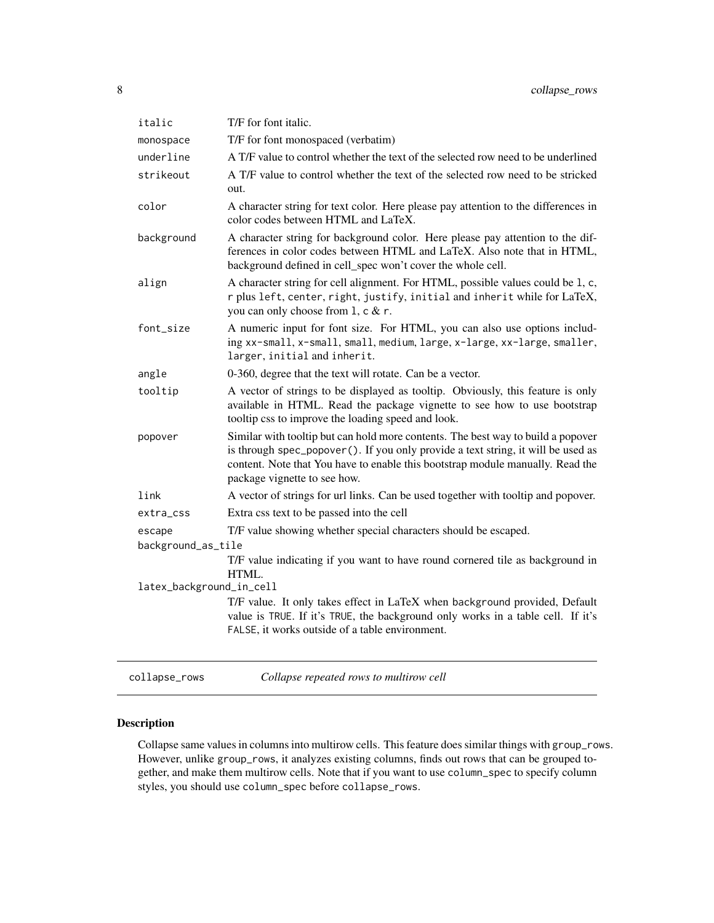<span id="page-7-0"></span>

| italic                   | T/F for font italic.                                                                                                                                                                                                                                                                    |  |
|--------------------------|-----------------------------------------------------------------------------------------------------------------------------------------------------------------------------------------------------------------------------------------------------------------------------------------|--|
| monospace                | T/F for font monospaced (verbatim)                                                                                                                                                                                                                                                      |  |
| underline                | A T/F value to control whether the text of the selected row need to be underlined                                                                                                                                                                                                       |  |
| strikeout                | A T/F value to control whether the text of the selected row need to be stricked<br>out.                                                                                                                                                                                                 |  |
| color                    | A character string for text color. Here please pay attention to the differences in<br>color codes between HTML and LaTeX.                                                                                                                                                               |  |
| background               | A character string for background color. Here please pay attention to the dif-<br>ferences in color codes between HTML and LaTeX. Also note that in HTML,<br>background defined in cell_spec won't cover the whole cell.                                                                |  |
| align                    | A character string for cell alignment. For HTML, possible values could be 1, c,<br>r plus left, center, right, justify, initial and inherit while for LaTeX,<br>you can only choose from 1, c & r.                                                                                      |  |
| font_size                | A numeric input for font size. For HTML, you can also use options includ-<br>ing xx-small, x-small, small, medium, large, x-large, xx-large, smaller,<br>larger, initial and inherit.                                                                                                   |  |
| angle                    | 0-360, degree that the text will rotate. Can be a vector.                                                                                                                                                                                                                               |  |
| tooltip                  | A vector of strings to be displayed as tooltip. Obviously, this feature is only<br>available in HTML. Read the package vignette to see how to use bootstrap<br>tooltip css to improve the loading speed and look.                                                                       |  |
| popover                  | Similar with tooltip but can hold more contents. The best way to build a popover<br>is through spec_popover (). If you only provide a text string, it will be used as<br>content. Note that You have to enable this bootstrap module manually. Read the<br>package vignette to see how. |  |
| link                     | A vector of strings for url links. Can be used together with tooltip and popover.                                                                                                                                                                                                       |  |
| extra_css                | Extra css text to be passed into the cell                                                                                                                                                                                                                                               |  |
| escape                   | T/F value showing whether special characters should be escaped.                                                                                                                                                                                                                         |  |
| background_as_tile       |                                                                                                                                                                                                                                                                                         |  |
|                          | T/F value indicating if you want to have round cornered tile as background in<br>HTML.                                                                                                                                                                                                  |  |
| latex_background_in_cell |                                                                                                                                                                                                                                                                                         |  |
|                          | T/F value. It only takes effect in LaTeX when background provided, Default<br>value is TRUE. If it's TRUE, the background only works in a table cell. If it's<br>FALSE, it works outside of a table environment.                                                                        |  |
|                          |                                                                                                                                                                                                                                                                                         |  |

| collapse rows | Collapse |
|---------------|----------|
|               |          |

# collapse\_rows *Collapse repeated rows to multirow cell*

# Description

Collapse same values in columns into multirow cells. This feature does similar things with group\_rows. However, unlike group\_rows, it analyzes existing columns, finds out rows that can be grouped together, and make them multirow cells. Note that if you want to use column\_spec to specify column styles, you should use column\_spec before collapse\_rows.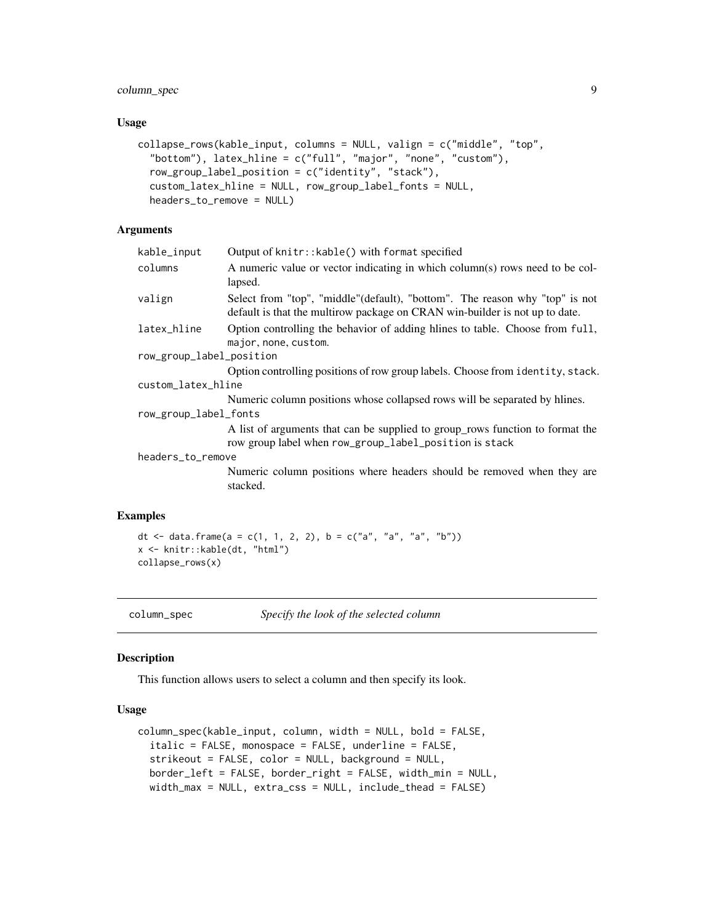# <span id="page-8-0"></span>column\_spec 9

#### Usage

```
collapse_rows(kable_input, columns = NULL, valign = c("middle", "top",
  "bottom"), latex_hline = c("full", "major", "none", "custom"),
  row_group_label_position = c("identity", "stack"),
  custom_latex_hline = NULL, row_group_label_fonts = NULL,
  headers_to_remove = NULL)
```
# Arguments

| kable_input              | Output of knitr:: kable() with format specified                                                                                                            |  |
|--------------------------|------------------------------------------------------------------------------------------------------------------------------------------------------------|--|
| columns                  | A numeric value or vector indicating in which column(s) rows need to be col-<br>lapsed.                                                                    |  |
| valign                   | Select from "top", "middle"(default), "bottom". The reason why "top" is not<br>default is that the multirow package on CRAN win-builder is not up to date. |  |
| latex_hline              | Option controlling the behavior of adding hilnes to table. Choose from full,<br>major, none, custom.                                                       |  |
| row_group_label_position |                                                                                                                                                            |  |
|                          | Option controlling positions of row group labels. Choose from identity, stack.                                                                             |  |
| custom_latex_hline       |                                                                                                                                                            |  |
|                          | Numeric column positions whose collapsed rows will be separated by hlines.                                                                                 |  |
| row_group_label_fonts    |                                                                                                                                                            |  |
|                          | A list of arguments that can be supplied to group_rows function to format the<br>row group label when row_group_label_position is stack                    |  |
| headers_to_remove        |                                                                                                                                                            |  |
|                          | Numeric column positions where headers should be removed when they are<br>stacked.                                                                         |  |
| mples                    |                                                                                                                                                            |  |
|                          |                                                                                                                                                            |  |

# Exar

```
dt <- data.frame(a = c(1, 1, 2, 2), b = c("a", "a", "a", "b"))
x <- knitr::kable(dt, "html")
collapse_rows(x)
```
column\_spec *Specify the look of the selected column*

#### Description

This function allows users to select a column and then specify its look.

### Usage

```
column_spec(kable_input, column, width = NULL, bold = FALSE,
  italic = FALSE, monospace = FALSE, underline = FALSE,
  strikeout = FALSE, color = NULL, background = NULL,border_left = FALSE, border_right = FALSE, width_min = NULL,
  width_max = NULL, extra_css = NULL, include_thead = FALSE)
```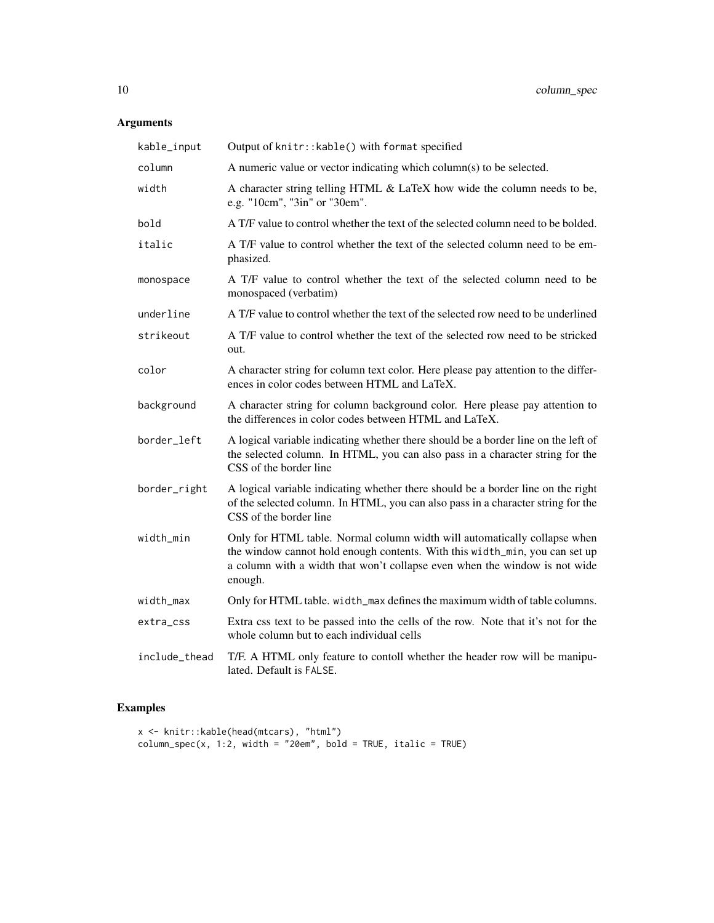# Arguments

| kable_input   | Output of knitr:: kable() with format specified                                                                                                                                                                                                   |
|---------------|---------------------------------------------------------------------------------------------------------------------------------------------------------------------------------------------------------------------------------------------------|
| column        | A numeric value or vector indicating which column(s) to be selected.                                                                                                                                                                              |
| width         | A character string telling HTML & LaTeX how wide the column needs to be,<br>e.g. "10cm", "3in" or "30em".                                                                                                                                         |
| bold          | A T/F value to control whether the text of the selected column need to be bolded.                                                                                                                                                                 |
| italic        | A T/F value to control whether the text of the selected column need to be em-<br>phasized.                                                                                                                                                        |
| monospace     | A T/F value to control whether the text of the selected column need to be<br>monospaced (verbatim)                                                                                                                                                |
| underline     | A T/F value to control whether the text of the selected row need to be underlined                                                                                                                                                                 |
| strikeout     | A T/F value to control whether the text of the selected row need to be stricked<br>out.                                                                                                                                                           |
| color         | A character string for column text color. Here please pay attention to the differ-<br>ences in color codes between HTML and LaTeX.                                                                                                                |
| background    | A character string for column background color. Here please pay attention to<br>the differences in color codes between HTML and LaTeX.                                                                                                            |
| border_left   | A logical variable indicating whether there should be a border line on the left of<br>the selected column. In HTML, you can also pass in a character string for the<br>CSS of the border line                                                     |
| border_right  | A logical variable indicating whether there should be a border line on the right<br>of the selected column. In HTML, you can also pass in a character string for the<br>CSS of the border line                                                    |
| width_min     | Only for HTML table. Normal column width will automatically collapse when<br>the window cannot hold enough contents. With this width_min, you can set up<br>a column with a width that won't collapse even when the window is not wide<br>enough. |
| width_max     | Only for HTML table. width_max defines the maximum width of table columns.                                                                                                                                                                        |
| extra_css     | Extra css text to be passed into the cells of the row. Note that it's not for the<br>whole column but to each individual cells                                                                                                                    |
| include_thead | T/F. A HTML only feature to contoll whether the header row will be manipu-<br>lated. Default is FALSE.                                                                                                                                            |

# Examples

```
x <- knitr::kable(head(mtcars), "html")
column_spec(x, 1:2, width = "20em", bold = TRUE, italic = TRUE)
```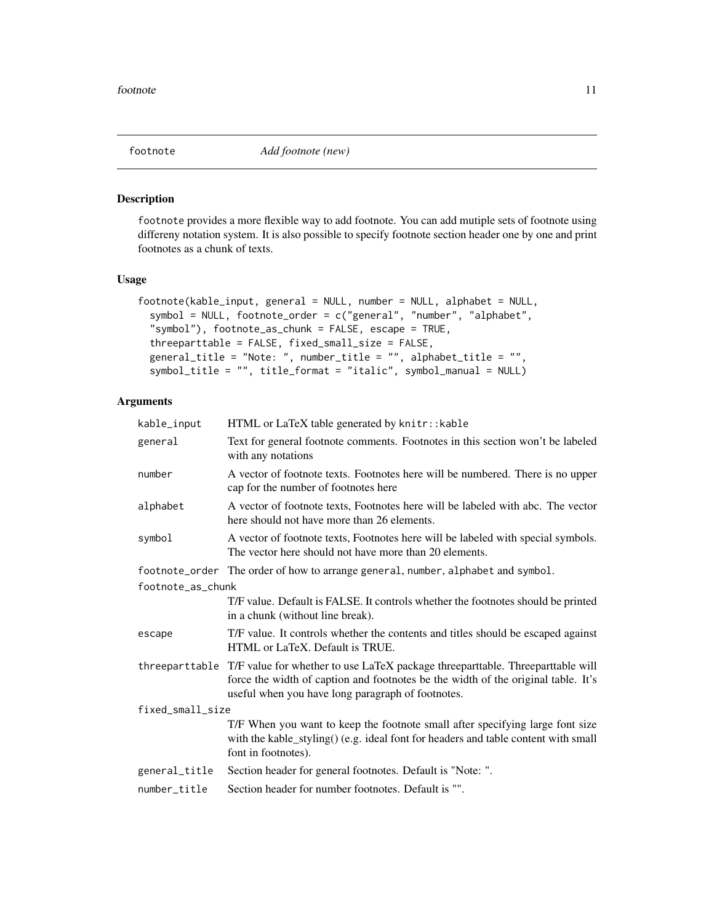<span id="page-10-0"></span>

footnote provides a more flexible way to add footnote. You can add mutiple sets of footnote using differeny notation system. It is also possible to specify footnote section header one by one and print footnotes as a chunk of texts.

#### Usage

```
footnote(kable_input, general = NULL, number = NULL, alphabet = NULL,
  symbol = NULL, footnote_order = c("general", "number", "alphabet",
 "symbol"), footnote_as_chunk = FALSE, escape = TRUE,
  threeparttable = FALSE, fixed_small_size = FALSE,
 general_title = "Note: ", number_title = "", alphabet_title = "",
  symbol_title = "", title_format = "italic", symbol_manual = NULL)
```

| kable_input       | HTML or LaTeX table generated by knitr:: kable                                                                                                                                                                                          |  |
|-------------------|-----------------------------------------------------------------------------------------------------------------------------------------------------------------------------------------------------------------------------------------|--|
| general           | Text for general footnote comments. Footnotes in this section won't be labeled<br>with any notations                                                                                                                                    |  |
| number            | A vector of footnote texts. Footnotes here will be numbered. There is no upper<br>cap for the number of footnotes here                                                                                                                  |  |
| alphabet          | A vector of footnote texts, Footnotes here will be labeled with abc. The vector<br>here should not have more than 26 elements.                                                                                                          |  |
| symbol            | A vector of footnote texts, Footnotes here will be labeled with special symbols.<br>The vector here should not have more than 20 elements.                                                                                              |  |
|                   | footnote_order The order of how to arrange general, number, alphabet and symbol.                                                                                                                                                        |  |
| footnote_as_chunk |                                                                                                                                                                                                                                         |  |
|                   | T/F value. Default is FALSE. It controls whether the footnotes should be printed<br>in a chunk (without line break).                                                                                                                    |  |
| escape            | T/F value. It controls whether the contents and titles should be escaped against<br>HTML or LaTeX. Default is TRUE.                                                                                                                     |  |
|                   | threeparttable T/F value for whether to use LaTeX package threeparttable. Threeparttable will<br>force the width of caption and footnotes be the width of the original table. It's<br>useful when you have long paragraph of footnotes. |  |
| fixed_small_size  |                                                                                                                                                                                                                                         |  |
|                   | T/F When you want to keep the footnote small after specifying large font size<br>with the kable_styling() (e.g. ideal font for headers and table content with small<br>font in footnotes).                                              |  |
| general_title     | Section header for general footnotes. Default is "Note: ".                                                                                                                                                                              |  |
| number_title      | Section header for number footnotes. Default is "".                                                                                                                                                                                     |  |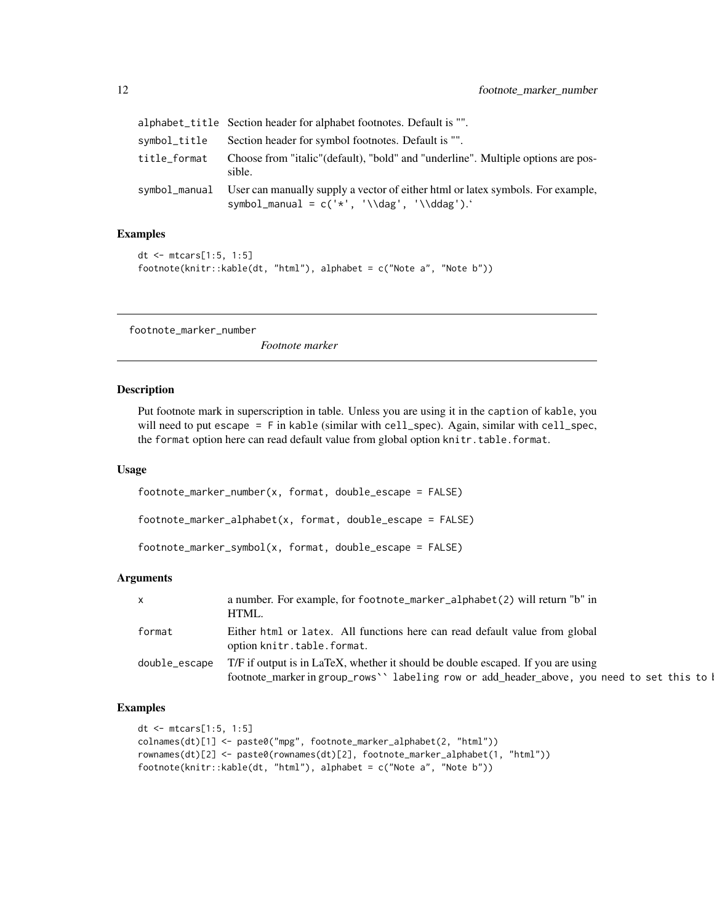<span id="page-11-0"></span>

|              | alphabet_title Section header for alphabet footnotes. Default is "".                                                                             |
|--------------|--------------------------------------------------------------------------------------------------------------------------------------------------|
| symbol_title | Section header for symbol footnotes. Default is "".                                                                                              |
| title_format | Choose from "italic" (default), "bold" and "underline". Multiple options are pos-<br>sible.                                                      |
|              | symbol_manual User can manually supply a vector of either html or latex symbols. For example,<br>symbol_manual = $c('*', '\\\dag', '\\\ddag').'$ |

#### Examples

```
dt <- mtcars[1:5, 1:5]
footnote(knitr::kable(dt, "html"), alphabet = c("Note a", "Note b"))
```
footnote\_marker\_number

*Footnote marker*

#### Description

Put footnote mark in superscription in table. Unless you are using it in the caption of kable, you will need to put escape = F in kable (similar with cell\_spec). Again, similar with cell\_spec, the format option here can read default value from global option knitr.table.format.

#### Usage

footnote\_marker\_number(x, format, double\_escape = FALSE)

footnote\_marker\_alphabet(x, format, double\_escape = FALSE)

footnote\_marker\_symbol(x, format, double\_escape = FALSE)

#### Arguments

| $\mathsf{X}$  | a number. For example, for footnote_marker_alphabet(2) will return "b" in<br>HTML.                                                                                            |
|---------------|-------------------------------------------------------------------------------------------------------------------------------------------------------------------------------|
| format        | Either html or latex. All functions here can read default value from global<br>option knitr.table.format.                                                                     |
| double_escape | T/F if output is in LaTeX, whether it should be double escaped. If you are using<br>footnote_markeringroup_rows'' labeling row or add_header_above, you need to set this to I |

#### Examples

```
dt <- mtcars[1:5, 1:5]
colnames(dt)[1] <- paste0("mpg", footnote_marker_alphabet(2, "html"))
rownames(dt)[2] <- paste0(rownames(dt)[2], footnote_marker_alphabet(1, "html"))
footnote(knitr::kable(dt, "html"), alphabet = c("Note a", "Note b"))
```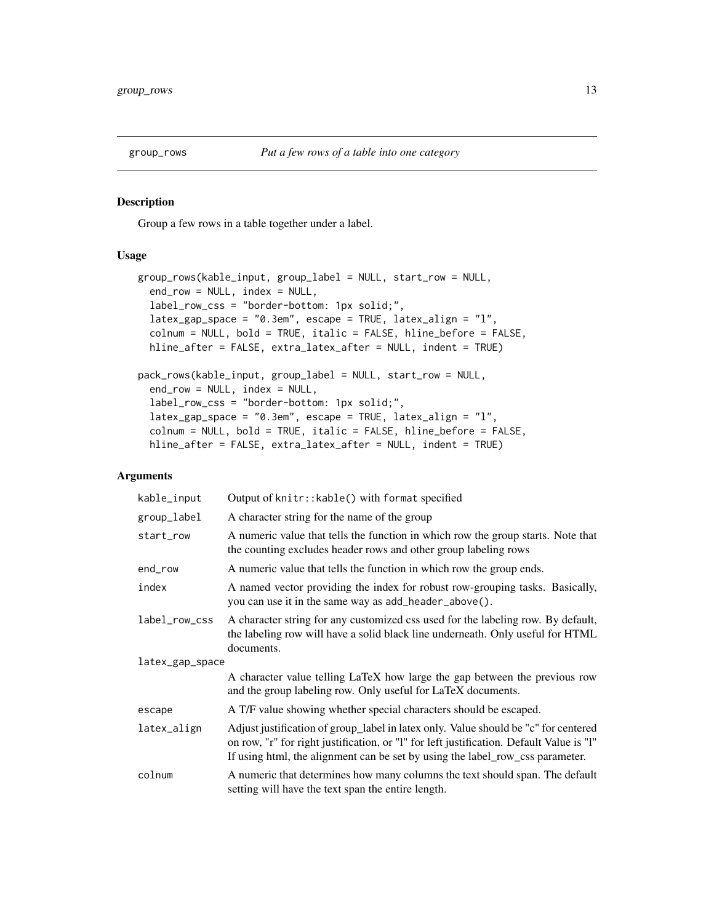<span id="page-12-0"></span>

Group a few rows in a table together under a label.

# Usage

```
group_rows(kable_input, group_label = NULL, start_row = NULL,
  end_row = NULL, index = NULL,
  label_row_css = "border-bottom: 1px solid;",
  latex_gap_space = "0.3em", escape = TRUE, latex_align = "l",
  colnum = NULL, bold = TRUE, italic = FALSE, hline_before = FALSE,
 hline_after = FALSE, extra_latex_after = NULL, indent = TRUE)
pack_rows(kable_input, group_label = NULL, start_row = NULL,
  end_row = NULL, index = NULL,
  label_row_css = "border-bottom: 1px solid;",
  latex_gap_space = "0.3em", escape = TRUE, latex_align = "l",
  colnum = NULL, bold = TRUE, italic = FALSE, hline_before = FALSE,
 hline_after = FALSE, extra_latex_after = NULL, indent = TRUE)
```

| kable_input     | Output of knitr:: kable() with format specified                                                                                                                                                                                                                  |  |
|-----------------|------------------------------------------------------------------------------------------------------------------------------------------------------------------------------------------------------------------------------------------------------------------|--|
| group_label     | A character string for the name of the group                                                                                                                                                                                                                     |  |
| start_row       | A numeric value that tells the function in which row the group starts. Note that<br>the counting excludes header rows and other group labeling rows                                                                                                              |  |
| end_row         | A numeric value that tells the function in which row the group ends.                                                                                                                                                                                             |  |
| index           | A named vector providing the index for robust row-grouping tasks. Basically,<br>you can use it in the same way as add_header_above().                                                                                                                            |  |
| label_row_css   | A character string for any customized css used for the labeling row. By default,<br>the labeling row will have a solid black line underneath. Only useful for HTML<br>documents.                                                                                 |  |
| latex_gap_space |                                                                                                                                                                                                                                                                  |  |
|                 | A character value telling LaTeX how large the gap between the previous row<br>and the group labeling row. Only useful for LaTeX documents.                                                                                                                       |  |
| escape          | A T/F value showing whether special characters should be escaped.                                                                                                                                                                                                |  |
| latex_align     | Adjust justification of group_label in latex only. Value should be "c" for centered<br>on row, "r" for right justification, or "l" for left justification. Default Value is "l"<br>If using html, the alignment can be set by using the label_row_css parameter. |  |
| colnum          | A numeric that determines how many columns the text should span. The default<br>setting will have the text span the entire length.                                                                                                                               |  |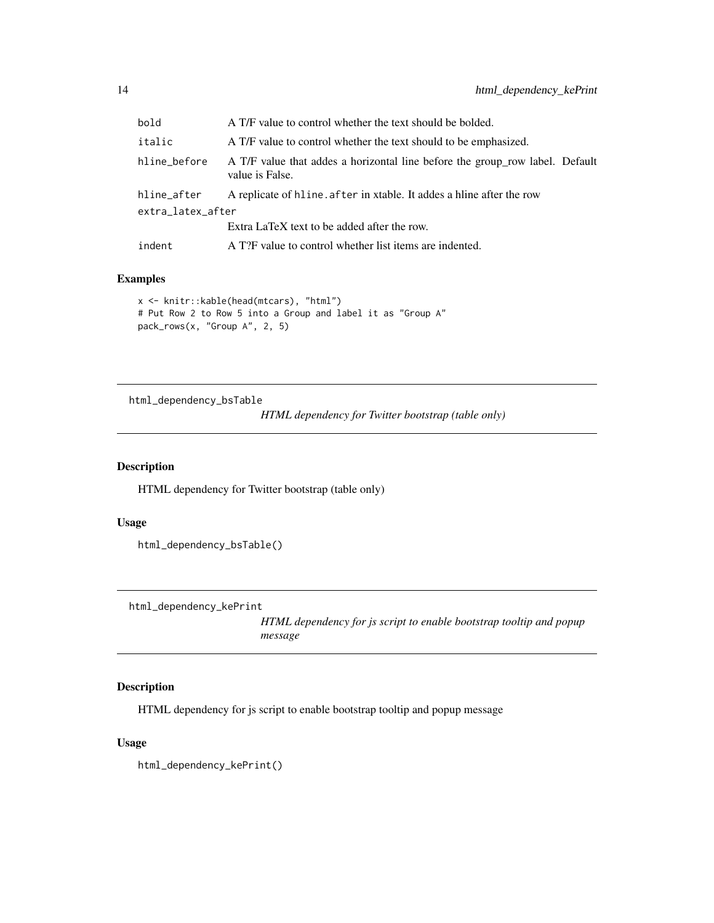<span id="page-13-0"></span>

| bold              | A T/F value to control whether the text should be bolded.                                       |
|-------------------|-------------------------------------------------------------------------------------------------|
| italic            | A T/F value to control whether the text should to be emphasized.                                |
| hline_before      | A T/F value that addes a horizontal line before the group_row label. Default<br>value is False. |
| hline_after       | A replicate of hline. after in xtable. It addes a hline after the row                           |
| extra_latex_after |                                                                                                 |
|                   | Extra LaTeX text to be added after the row.                                                     |
| indent            | A T?F value to control whether list items are indented.                                         |

# Examples

```
x <- knitr::kable(head(mtcars), "html")
# Put Row 2 to Row 5 into a Group and label it as "Group A"
pack_rows(x, "Group A", 2, 5)
```
html\_dependency\_bsTable

*HTML dependency for Twitter bootstrap (table only)*

# Description

HTML dependency for Twitter bootstrap (table only)

# Usage

```
html_dependency_bsTable()
```
html\_dependency\_kePrint

*HTML dependency for js script to enable bootstrap tooltip and popup message*

# Description

HTML dependency for js script to enable bootstrap tooltip and popup message

# Usage

html\_dependency\_kePrint()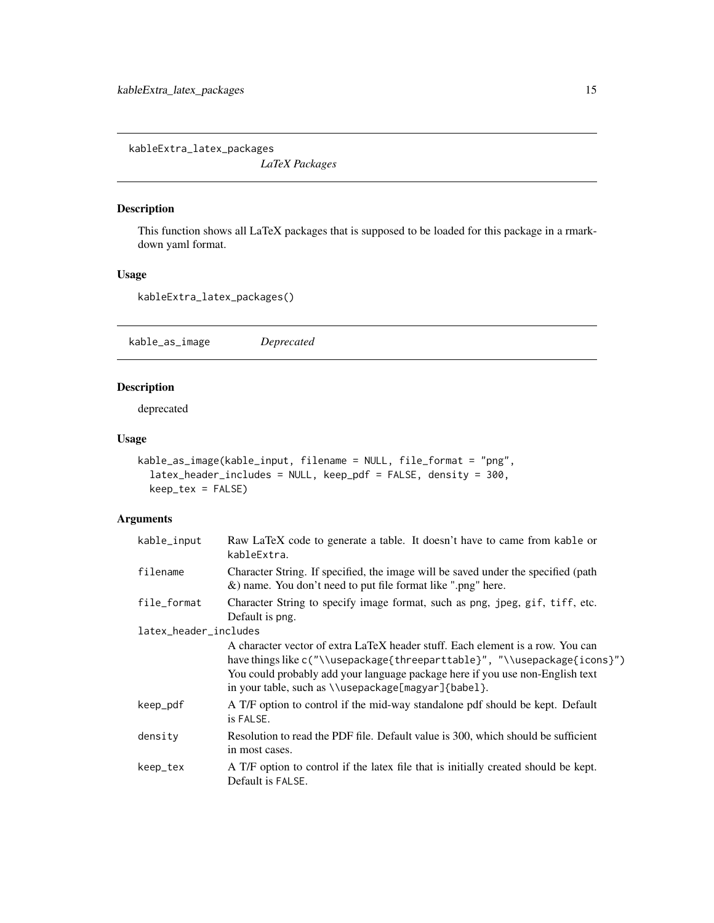<span id="page-14-0"></span>kableExtra\_latex\_packages

*LaTeX Packages*

# Description

This function shows all LaTeX packages that is supposed to be loaded for this package in a rmarkdown yaml format.

# Usage

```
kableExtra_latex_packages()
```
kable\_as\_image *Deprecated*

### Description

deprecated

#### Usage

```
kable_as_image(kable_input, filename = NULL, file_format = "png",
  latex_header_includes = NULL, keep_pdf = FALSE, density = 300,
 keep_tex = FALSE)
```

| kable_input           | Raw LaTeX code to generate a table. It doesn't have to came from kable or<br>kableExtra.                                                                                                                                                                                                            |
|-----------------------|-----------------------------------------------------------------------------------------------------------------------------------------------------------------------------------------------------------------------------------------------------------------------------------------------------|
| filename              | Character String. If specified, the image will be saved under the specified (path<br>&) name. You don't need to put file format like ".png" here.                                                                                                                                                   |
| file_format           | Character String to specify image format, such as png, jpeg, gif, tiff, etc.<br>Default is png.                                                                                                                                                                                                     |
| latex_header_includes |                                                                                                                                                                                                                                                                                                     |
|                       | A character vector of extra LaTeX header stuff. Each element is a row. You can<br>have things like c("\\usepackage{threeparttable}", "\\usepackage{icons}")<br>You could probably add your language package here if you use non-English text<br>in your table, such as \\usepackage[magyar]{babe1}. |
| keep_pdf              | A T/F option to control if the mid-way standalone pdf should be kept. Default<br>is FALSE.                                                                                                                                                                                                          |
| density               | Resolution to read the PDF file. Default value is 300, which should be sufficient<br>in most cases.                                                                                                                                                                                                 |
| keep_tex              | A T/F option to control if the latex file that is initially created should be kept.<br>Default is FALSE.                                                                                                                                                                                            |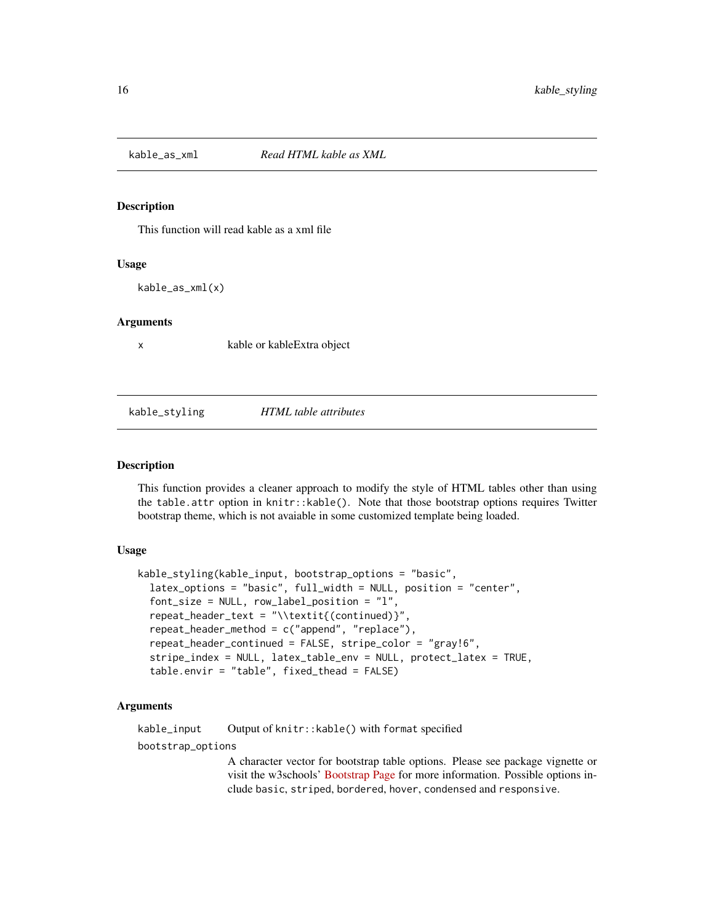<span id="page-15-0"></span>

This function will read kable as a xml file

#### Usage

kable\_as\_xml(x)

#### Arguments

x kable or kableExtra object

kable\_styling *HTML table attributes*

#### Description

This function provides a cleaner approach to modify the style of HTML tables other than using the table.attr option in knitr::kable(). Note that those bootstrap options requires Twitter bootstrap theme, which is not avaiable in some customized template being loaded.

#### Usage

```
kable_styling(kable_input, bootstrap_options = "basic",
  latex_options = "basic", full_width = NULL, position = "center",
  font_size = NULL, row_label_position = "l",
  repeat_header_text = "\\textit{(continued)}",
  repeat_header_method = c("append", "replace"),
  repeat_header_continued = FALSE, stripe_color = "gray!6",
  stripe_index = NULL, latex_table_env = NULL, protect_latex = TRUE,
  table.envir = "table", fixed_thead = FALSE)
```
#### Arguments

kable\_input Output of knitr::kable() with format specified

bootstrap\_options

A character vector for bootstrap table options. Please see package vignette or visit the w3schools' [Bootstrap Page](https://www.w3schools.com/bootstrap/bootstrap_tables.asp) for more information. Possible options include basic, striped, bordered, hover, condensed and responsive.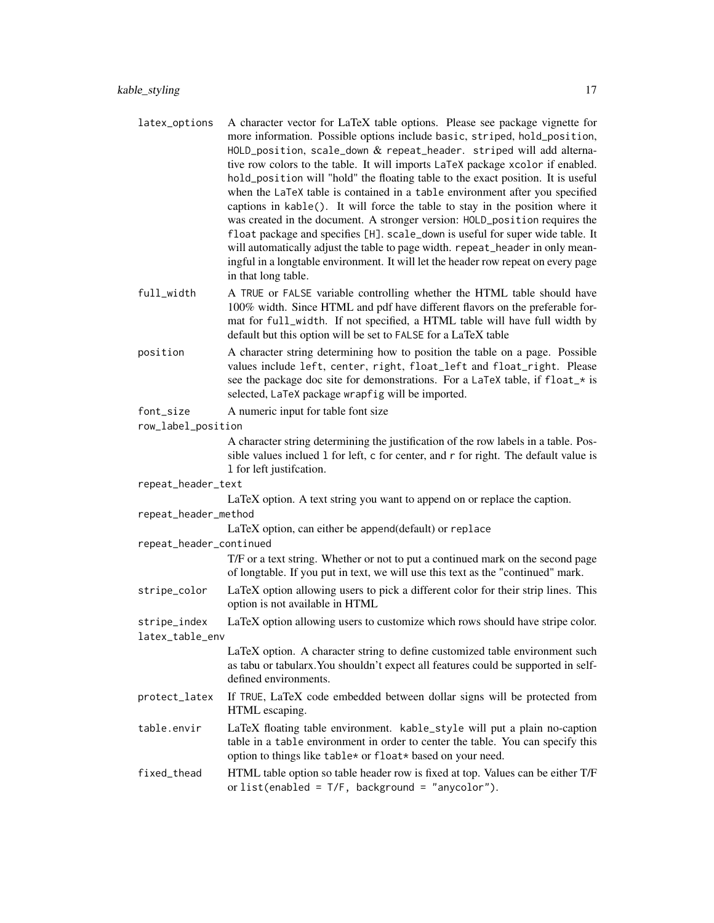- latex\_options A character vector for LaTeX table options. Please see package vignette for more information. Possible options include basic, striped, hold\_position, HOLD\_position, scale\_down  $&$  repeat\_header. striped will add alternative row colors to the table. It will imports LaTeX package xcolor if enabled. hold\_position will "hold" the floating table to the exact position. It is useful when the LaTeX table is contained in a table environment after you specified captions in kable(). It will force the table to stay in the position where it was created in the document. A stronger version: HOLD\_position requires the float package and specifies [H]. scale\_down is useful for super wide table. It will automatically adjust the table to page width. repeat\_header in only meaningful in a longtable environment. It will let the header row repeat on every page in that long table.
- full\_width A TRUE or FALSE variable controlling whether the HTML table should have 100% width. Since HTML and pdf have different flavors on the preferable format for full\_width. If not specified, a HTML table will have full width by default but this option will be set to FALSE for a LaTeX table
- position A character string determining how to position the table on a page. Possible values include left, center, right, float\_left and float\_right. Please see the package doc site for demonstrations. For a LaTeX table, if float\_\* is selected, LaTeX package wrapfig will be imported.
- font\_size A numeric input for table font size
- row\_label\_position

A character string determining the justification of the row labels in a table. Possible values inclued l for left, c for center, and r for right. The default value is l for left justifcation.

repeat\_header\_text

LaTeX option. A text string you want to append on or replace the caption.

repeat\_header\_method

LaTeX option, can either be append(default) or replace

repeat\_header\_continued

T/F or a text string. Whether or not to put a continued mark on the second page of longtable. If you put in text, we will use this text as the "continued" mark.

- stripe\_color LaTeX option allowing users to pick a different color for their strip lines. This option is not available in HTML
- stripe\_index LaTeX option allowing users to customize which rows should have stripe color. latex\_table\_env

LaTeX option. A character string to define customized table environment such as tabu or tabularx.You shouldn't expect all features could be supported in selfdefined environments.

- protect\_latex If TRUE, LaTeX code embedded between dollar signs will be protected from HTML escaping.
- table.envir LaTeX floating table environment. kable\_style will put a plain no-caption table in a table environment in order to center the table. You can specify this option to things like table\* or float\* based on your need.
- fixed\_thead HTML table option so table header row is fixed at top. Values can be either T/F or list(enabled =  $T/F$ , background = "anycolor").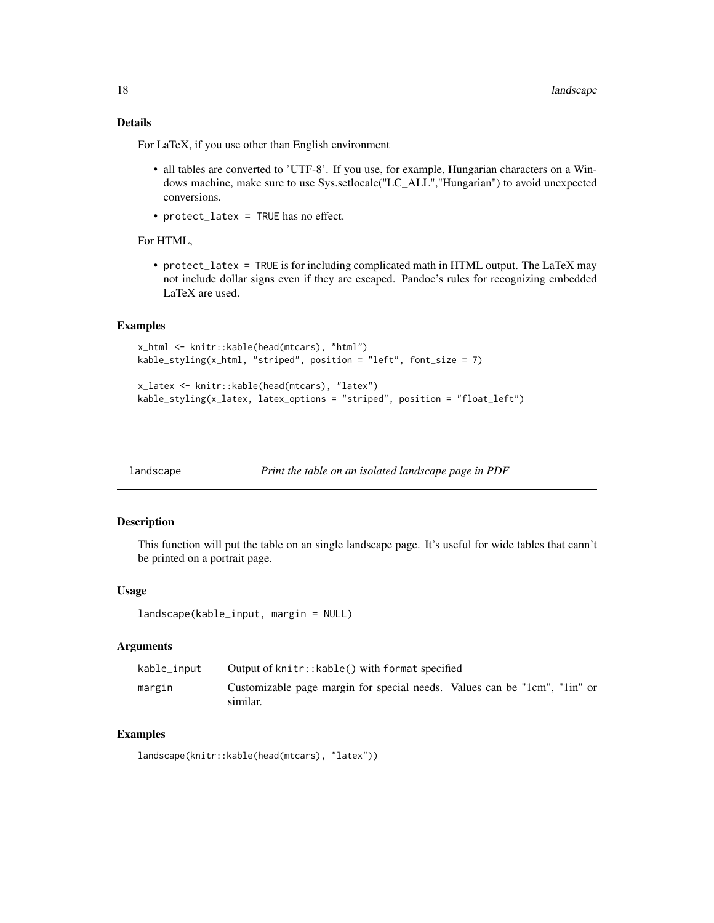# <span id="page-17-0"></span>Details

For LaTeX, if you use other than English environment

- all tables are converted to 'UTF-8'. If you use, for example, Hungarian characters on a Windows machine, make sure to use Sys.setlocale("LC\_ALL","Hungarian") to avoid unexpected conversions.
- protect\_latex = TRUE has no effect.

For HTML,

• protect\_latex = TRUE is for including complicated math in HTML output. The LaTeX may not include dollar signs even if they are escaped. Pandoc's rules for recognizing embedded LaTeX are used.

# Examples

```
x_html <- knitr::kable(head(mtcars), "html")
kable_styling(x_html, "striped", position = "left", font_size = 7)
```

```
x_latex <- knitr::kable(head(mtcars), "latex")
kable_styling(x_latex, latex_options = "striped", position = "float_left")
```
landscape *Print the table on an isolated landscape page in PDF*

#### Description

This function will put the table on an single landscape page. It's useful for wide tables that cann't be printed on a portrait page.

#### Usage

```
landscape(kable_input, margin = NULL)
```
# Arguments

| kable_input | Output of knitr:: kable() with format specified                                       |  |
|-------------|---------------------------------------------------------------------------------------|--|
| margin      | Customizable page margin for special needs. Values can be "1cm", "1in" or<br>similar. |  |

#### Examples

```
landscape(knitr::kable(head(mtcars), "latex"))
```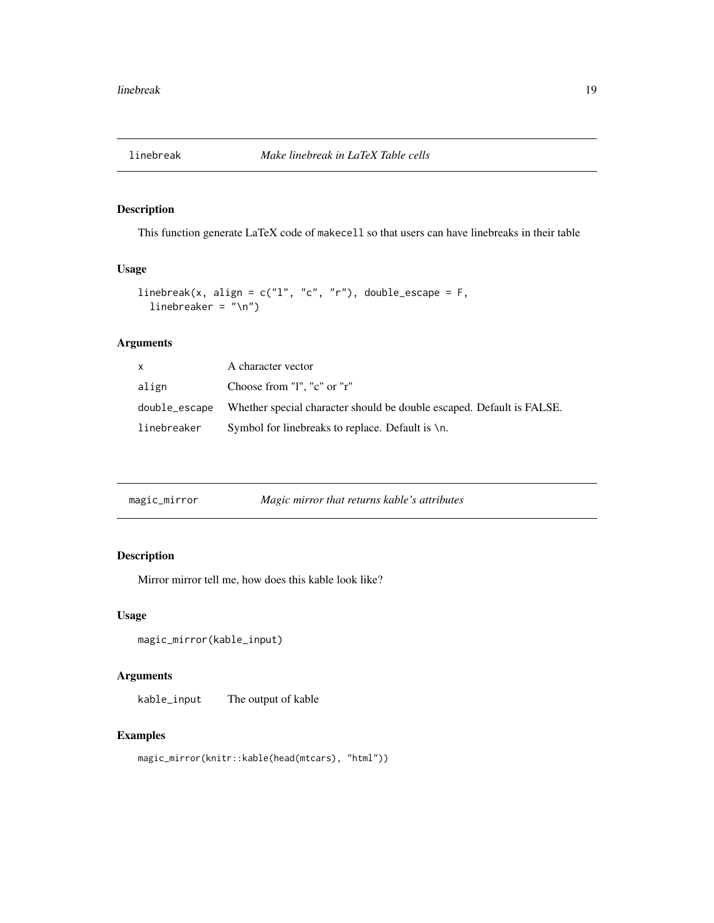<span id="page-18-0"></span>

This function generate LaTeX code of makecell so that users can have linebreaks in their table

# Usage

```
linebreak(x, align = c("l", "c", "r"), double_escape = F,
  linebreaker = "\n\n\in
```
# Arguments

| X.          | A character vector                                                                  |
|-------------|-------------------------------------------------------------------------------------|
| align       | Choose from "I". "c" or "r"                                                         |
|             | double_escape Whether special character should be double escaped. Default is FALSE. |
| linebreaker | Symbol for line breaks to replace. Default is $\ln$ .                               |

|  | magic_mirror | Magic mirror that returns kable's attributes |
|--|--------------|----------------------------------------------|
|--|--------------|----------------------------------------------|

# Description

Mirror mirror tell me, how does this kable look like?

#### Usage

```
magic_mirror(kable_input)
```
# Arguments

kable\_input The output of kable

# Examples

magic\_mirror(knitr::kable(head(mtcars), "html"))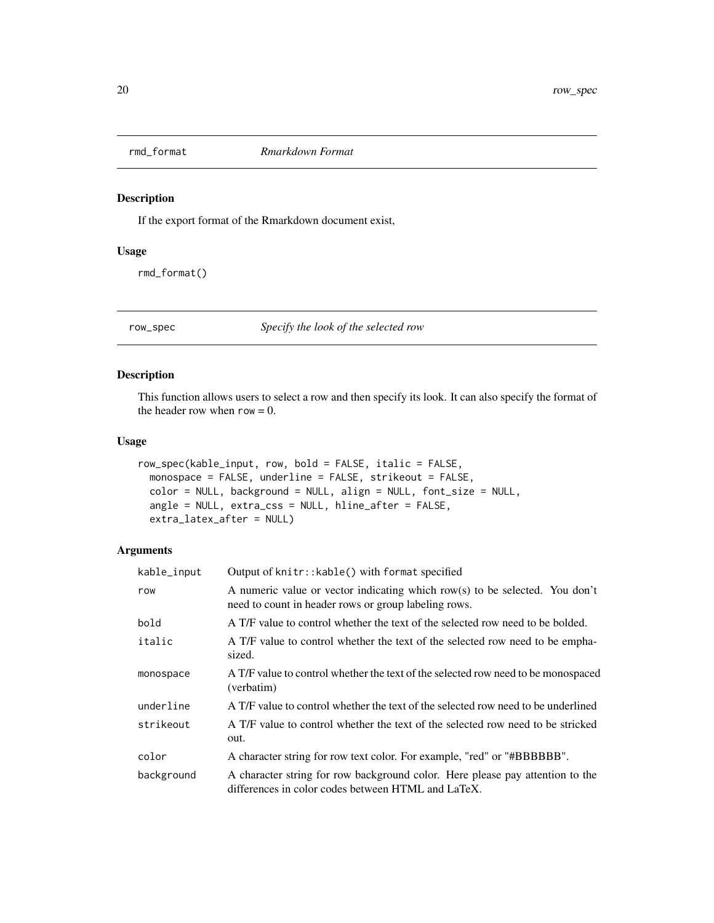<span id="page-19-0"></span>

If the export format of the Rmarkdown document exist,

### Usage

rmd\_format()

row\_spec *Specify the look of the selected row*

# Description

This function allows users to select a row and then specify its look. It can also specify the format of the header row when  $row = 0$ .

# Usage

```
row_spec(kable_input, row, bold = FALSE, italic = FALSE,
 monospace = FALSE, underline = FALSE, strikeout = FALSE,
 color = NULL, background = NULL, align = NULL, font_size = NULL,
 angle = NULL, extra_css = NULL, hline_after = FALSE,
 extra_latex_after = NULL)
```

| kable_input | Output of knitr:: kable() with format specified                                                                                     |
|-------------|-------------------------------------------------------------------------------------------------------------------------------------|
| row         | A numeric value or vector indicating which row(s) to be selected. You don't<br>need to count in header rows or group labeling rows. |
| bold        | A T/F value to control whether the text of the selected row need to be bolded.                                                      |
| italic      | A T/F value to control whether the text of the selected row need to be empha-<br>sized.                                             |
| monospace   | A T/F value to control whether the text of the selected row need to be monospaced<br>(verbatim)                                     |
| underline   | A T/F value to control whether the text of the selected row need to be underlined                                                   |
| strikeout   | A T/F value to control whether the text of the selected row need to be stricked<br>out.                                             |
| color       | A character string for row text color. For example, "red" or "#BBBBBB".                                                             |
| background  | A character string for row background color. Here please pay attention to the<br>differences in color codes between HTML and LaTeX. |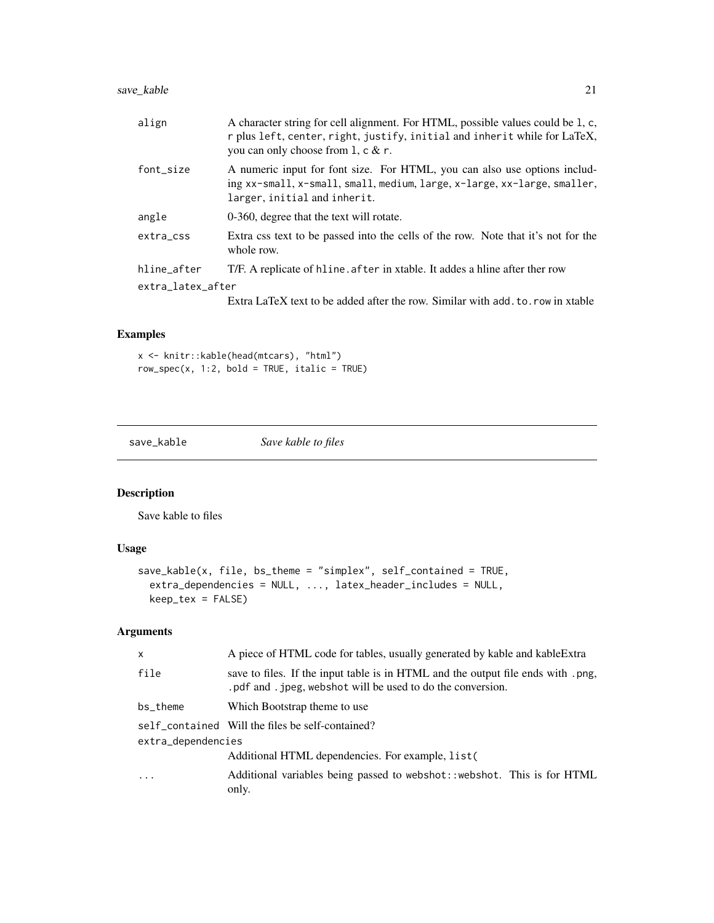# <span id="page-20-0"></span>save\_kable 21

| align             | A character string for cell alignment. For HTML, possible values could be 1, c,<br>r plus left, center, right, justify, initial and inherit while for LaTeX,<br>you can only choose from $1, c \& r$ . |
|-------------------|--------------------------------------------------------------------------------------------------------------------------------------------------------------------------------------------------------|
| font_size         | A numeric input for font size. For HTML, you can also use options includ-<br>ing xx-small, x-small, small, medium, large, x-large, xx-large, smaller,<br>larger, initial and inherit.                  |
| angle             | 0-360, degree that the text will rotate.                                                                                                                                                               |
| extra_css         | Extra css text to be passed into the cells of the row. Note that it's not for the<br>whole row.                                                                                                        |
| hline_after       | T/F. A replicate of hline, after in xtable. It addes a hline after ther row                                                                                                                            |
| extra_latex_after |                                                                                                                                                                                                        |
|                   | Extra LaTeX text to be added after the row. Similar with add, to, row in xtable                                                                                                                        |
|                   |                                                                                                                                                                                                        |

# Examples

x <- knitr::kable(head(mtcars), "html")  $row\_spec(x, 1:2, bold = TRUE, italic = TRUE)$ 

save\_kable *Save kable to files*

# Description

Save kable to files

# Usage

```
save_kable(x, file, bs_theme = "simplex", self_contained = TRUE,
 extra_dependencies = NULL, ..., latex_header_includes = NULL,
 keep_tex = FALSE)
```

| A piece of HTML code for tables, usually generated by kable and kable Extra                                                                      |
|--------------------------------------------------------------------------------------------------------------------------------------------------|
| save to files. If the input table is in HTML and the output file ends with .png,<br>. pdf and . jpeg, webshot will be used to do the conversion. |
| Which Bootstrap theme to use                                                                                                                     |
| self_contained Will the files be self-contained?                                                                                                 |
| extra_dependencies                                                                                                                               |
| Additional HTML dependencies. For example, list (                                                                                                |
| Additional variables being passed to webshot: : webshot. This is for HTML<br>only.                                                               |
|                                                                                                                                                  |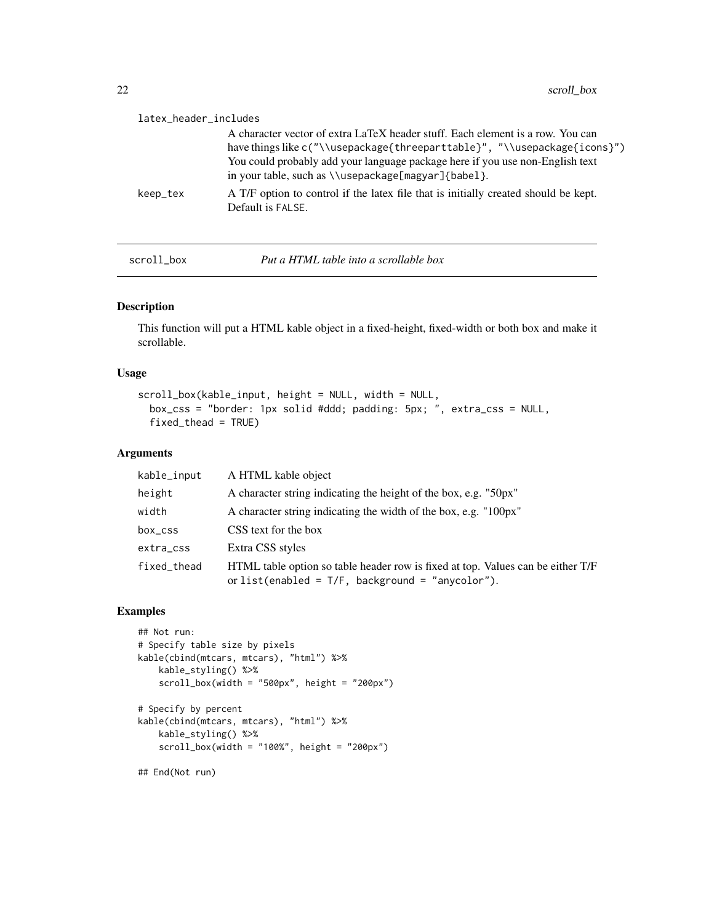<span id="page-21-0"></span>

| latex_header_includes |                                                                                                                                      |
|-----------------------|--------------------------------------------------------------------------------------------------------------------------------------|
|                       | A character vector of extra LaTeX header stuff. Each element is a row. You can                                                       |
|                       | have things like c("\\usepackage{threeparttable}", "\\usepackage{icons}")                                                            |
|                       | You could probably add your language package here if you use non-English text<br>in your table, such as \\usepackage[magyar]{babe1}. |
| keep_tex              | A T/F option to control if the latex file that is initially created should be kept.<br>Default is FALSE.                             |
|                       |                                                                                                                                      |

scroll\_box *Put a HTML table into a scrollable box*

# Description

This function will put a HTML kable object in a fixed-height, fixed-width or both box and make it scrollable.

# Usage

```
scroll_box(kable_input, height = NULL, width = NULL,
 box_css = "border: 1px solid #ddd; padding: 5px; ", extra_css = NULL,
 fixed_thead = TRUE)
```
#### Arguments

| kable_input | A HTML kable object                                                                                                                    |
|-------------|----------------------------------------------------------------------------------------------------------------------------------------|
| height      | A character string indicating the height of the box, e.g. "50px"                                                                       |
| width       | A character string indicating the width of the box, e.g. "100px"                                                                       |
| box_css     | CSS text for the box                                                                                                                   |
| extra_css   | Extra CSS styles                                                                                                                       |
| fixed_thead | HTML table option so table header row is fixed at top. Values can be either T/F<br>or list(enabled = $T/F$ , background = "anycolor"). |

#### Examples

```
## Not run:
# Specify table size by pixels
kable(cbind(mtcars, mtcars), "html") %>%
    kable_styling() %>%
    scroll_box(width = "500px", height = "200px")# Specify by percent
```

```
kable(cbind(mtcars, mtcars), "html") %>%
   kable_styling() %>%
    scroll_box(width = "100\%", height = "200px")
```
## End(Not run)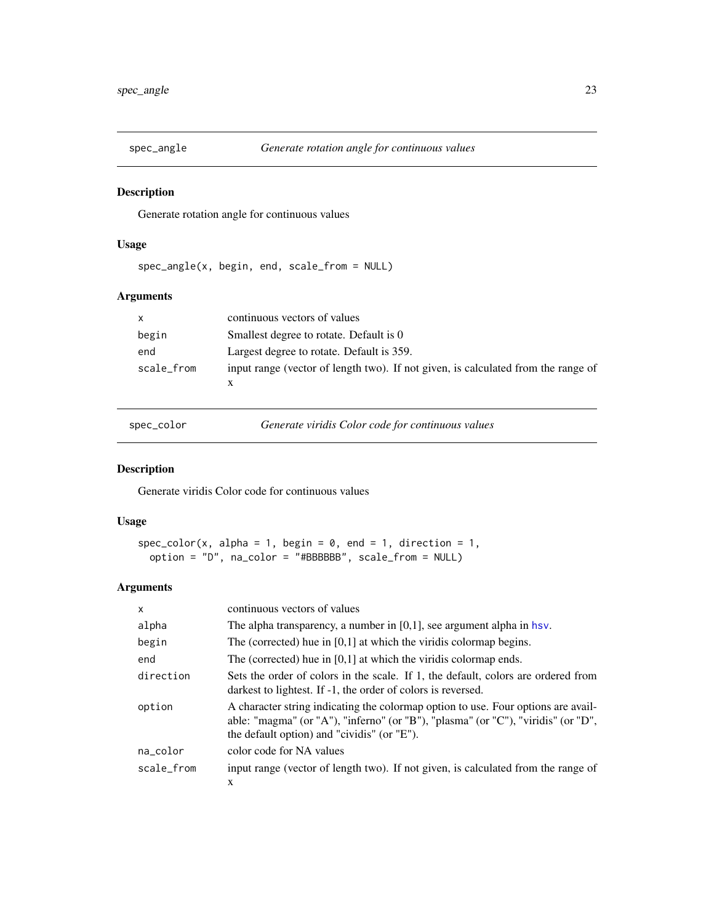<span id="page-22-0"></span>

Generate rotation angle for continuous values

# Usage

spec\_angle(x, begin, end, scale\_from = NULL)

# Arguments

| $\mathsf{X}$ | continuous vectors of values                                                      |
|--------------|-----------------------------------------------------------------------------------|
| begin        | Smallest degree to rotate. Default is 0                                           |
| end          | Largest degree to rotate. Default is 359.                                         |
| scale_from   | input range (vector of length two). If not given, is calculated from the range of |

spec\_color *Generate viridis Color code for continuous values*

# Description

Generate viridis Color code for continuous values

# Usage

```
spec\_color(x, alpha = 1, begin = 0, end = 1, direction = 1,option = "D", na_color = "#BBBBBB", scale_from = NULL)
```

| $\mathsf{x}$ | continuous vectors of values                                                                                                                                                                                          |
|--------------|-----------------------------------------------------------------------------------------------------------------------------------------------------------------------------------------------------------------------|
| alpha        | The alpha transparency, a number in $[0,1]$ , see argument alpha in hsv.                                                                                                                                              |
| begin        | The (corrected) hue in $[0,1]$ at which the viridis colormap begins.                                                                                                                                                  |
| end          | The (corrected) hue in $[0,1]$ at which the viridis colormap ends.                                                                                                                                                    |
| direction    | Sets the order of colors in the scale. If 1, the default, colors are ordered from<br>darkest to lightest. If -1, the order of colors is reversed.                                                                     |
| option       | A character string indicating the colormap option to use. Four options are avail-<br>able: "magma" (or "A"), "inferno" (or "B"), "plasma" (or "C"), "viridis" (or "D",<br>the default option) and "cividis" (or "E"). |
| na_color     | color code for NA values                                                                                                                                                                                              |
| scale from   | input range (vector of length two). If not given, is calculated from the range of                                                                                                                                     |
|              | X                                                                                                                                                                                                                     |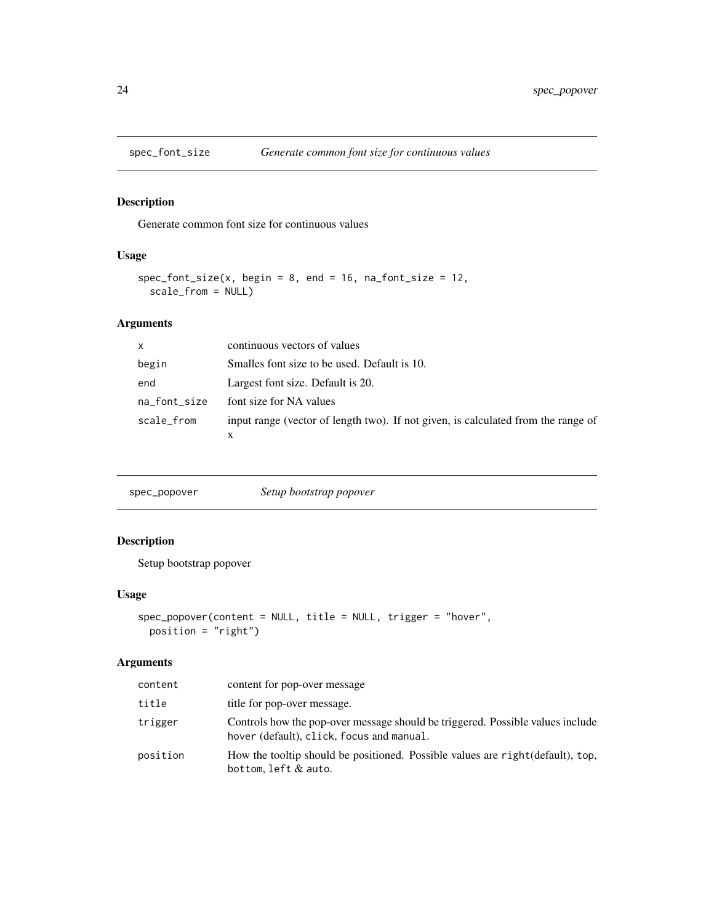<span id="page-23-0"></span>

Generate common font size for continuous values

# Usage

```
spec_font_size(x, begin = 8, end = 16, na_font_size = 12,scale_from = NULL)
```
# Arguments

| $\mathsf{x}$ | continuous vectors of values                                                      |
|--------------|-----------------------------------------------------------------------------------|
| begin        | Smalles font size to be used. Default is 10.                                      |
| end          | Largest font size. Default is 20.                                                 |
| na_font_size | font size for NA values                                                           |
| scale_from   | input range (vector of length two). If not given, is calculated from the range of |
|              |                                                                                   |

| spec_popover | Setup bootstrap popover |
|--------------|-------------------------|
|              |                         |

# Description

Setup bootstrap popover

# Usage

```
spec_popover(content = NULL, title = NULL, trigger = "hover",
 position = "right")
```

| content  | content for pop-over message                                                                                                |
|----------|-----------------------------------------------------------------------------------------------------------------------------|
| title    | title for pop-over message.                                                                                                 |
| trigger  | Controls how the pop-over message should be triggered. Possible values include<br>hover (default), click, focus and manual. |
| position | How the tooltip should be positioned. Possible values are right (default), top,<br>bottom, left $&$ auto.                   |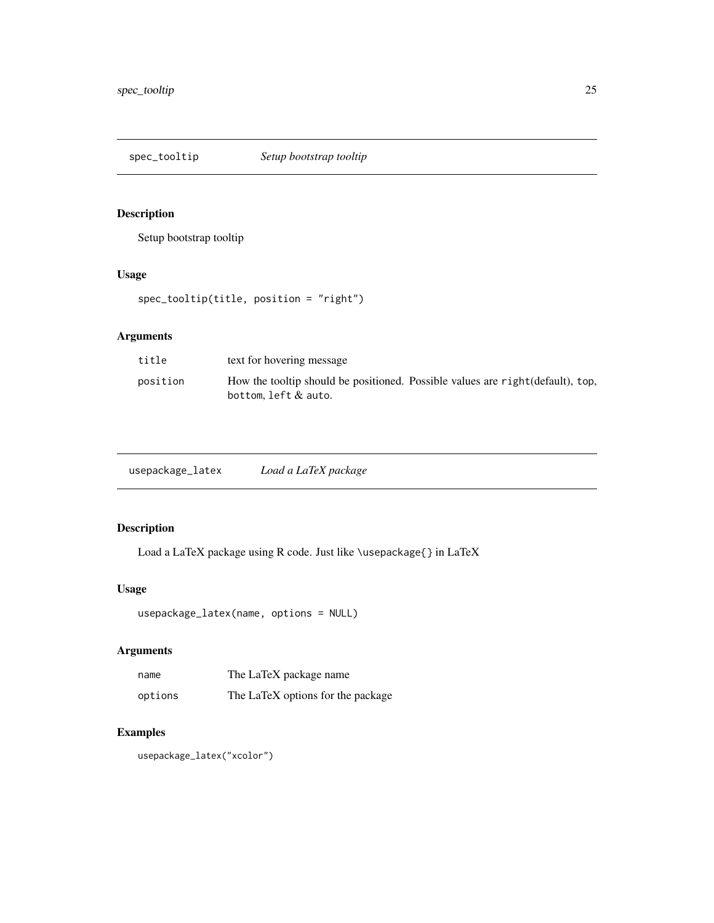<span id="page-24-0"></span>spec\_tooltip *Setup bootstrap tooltip*

# Description

Setup bootstrap tooltip

# Usage

```
spec_tooltip(title, position = "right")
```
# Arguments

| title    | text for hovering message                                                                              |
|----------|--------------------------------------------------------------------------------------------------------|
| position | How the tooltip should be positioned. Possible values are right (default), top,<br>bottom.left & auto. |

| usepackage_latex | Load a LaTeX package |
|------------------|----------------------|
|------------------|----------------------|

# Description

Load a LaTeX package using R code. Just like \usepackage{} in LaTeX

# Usage

```
usepackage_latex(name, options = NULL)
```
# Arguments

| name    | The LaTeX package name            |
|---------|-----------------------------------|
| options | The LaTeX options for the package |

# Examples

usepackage\_latex("xcolor")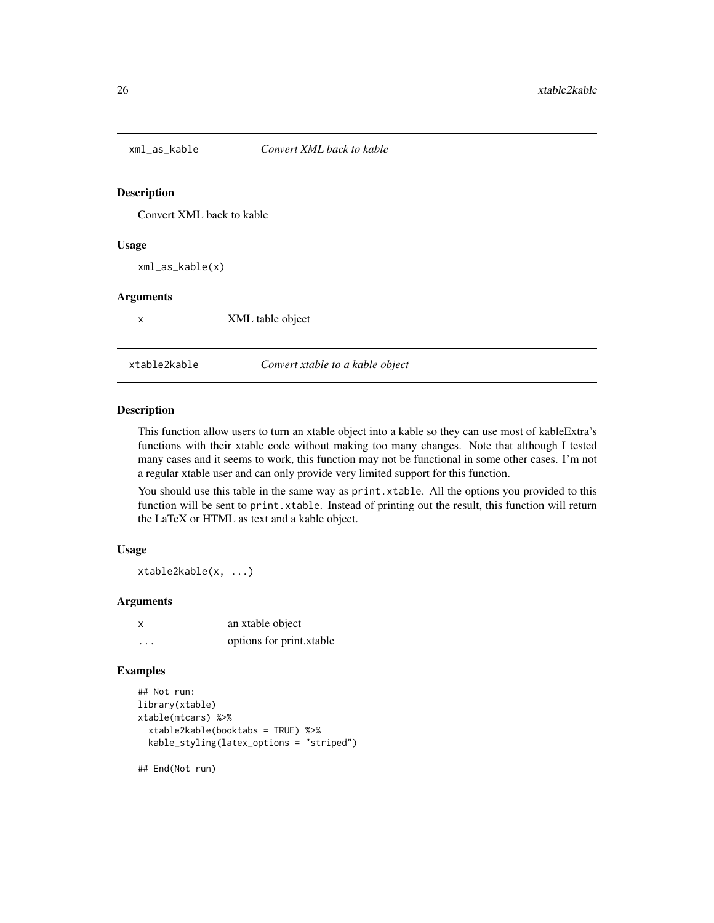<span id="page-25-0"></span>

Convert XML back to kable

#### Usage

xml\_as\_kable(x)

#### Arguments

x XML table object

xtable2kable *Convert xtable to a kable object*

### Description

This function allow users to turn an xtable object into a kable so they can use most of kableExtra's functions with their xtable code without making too many changes. Note that although I tested many cases and it seems to work, this function may not be functional in some other cases. I'm not a regular xtable user and can only provide very limited support for this function.

You should use this table in the same way as print.xtable. All the options you provided to this function will be sent to print.xtable. Instead of printing out the result, this function will return the LaTeX or HTML as text and a kable object.

#### Usage

xtable2kable(x, ...)

# Arguments

| x        | an xtable object         |
|----------|--------------------------|
| $\cdots$ | options for print.xtable |

#### Examples

```
## Not run:
library(xtable)
xtable(mtcars) %>%
 xtable2kable(booktabs = TRUE) %>%
 kable_styling(latex_options = "striped")
```
## End(Not run)